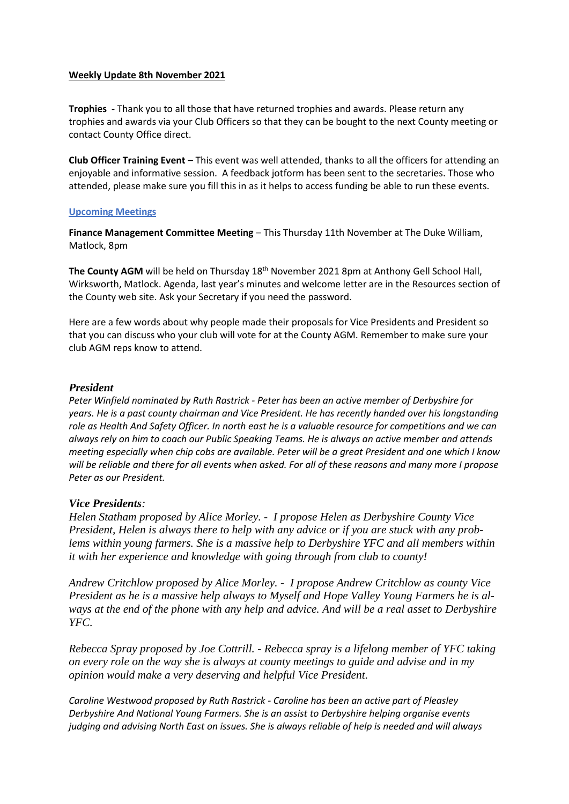### **Weekly Update 8th November 2021**

**Trophies -** Thank you to all those that have returned trophies and awards. Please return any trophies and awards via your Club Officers so that they can be bought to the next County meeting or contact County Office direct.

**Club Officer Training Event** – This event was well attended, thanks to all the officers for attending an enjoyable and informative session. A feedback jotform has been sent to the secretaries. Those who attended, please make sure you fill this in as it helps to access funding be able to run these events.

## **Upcoming Meetings**

**Finance Management Committee Meeting - This Thursday 11th November at The Duke William,** Matlock, 8pm

**The County AGM** will be held on Thursday 18<sup>th</sup> November 2021 8pm at Anthony Gell School Hall, Wirksworth, Matlock. Agenda, last year's minutes and welcome letter are in the Resources section of the County web site. Ask your Secretary if you need the password.

Here are a few words about why people made their proposals for Vice Presidents and President so that you can discuss who your club will vote for at the County AGM. Remember to make sure your club AGM reps know to attend.

#### *President*

*Peter Winfield nominated by Ruth Rastrick - Peter has been an active member of Derbyshire for years. He is a past county chairman and Vice President. He has recently handed over his longstanding role as Health And Safety Officer. In north east he is a valuable resource for competitions and we can always rely on him to coach our Public Speaking Teams. He is always an active member and attends meeting especially when chip cobs are available. Peter will be a great President and one which I know will be reliable and there for all events when asked. For all of these reasons and many more I propose Peter as our President.*

## *Vice Presidents:*

*Helen Statham proposed by Alice Morley. - I propose Helen as Derbyshire County Vice President, Helen is always there to help with any advice or if you are stuck with any problems within young farmers. She is a massive help to Derbyshire YFC and all members within it with her experience and knowledge with going through from club to county!*

*Andrew Critchlow proposed by Alice Morley. - I propose Andrew Critchlow as county Vice President as he is a massive help always to Myself and Hope Valley Young Farmers he is always at the end of the phone with any help and advice. And will be a real asset to Derbyshire YFC.*

*Rebecca Spray proposed by Joe Cottrill. - Rebecca spray is a lifelong member of YFC taking on every role on the way she is always at county meetings to guide and advise and in my opinion would make a very deserving and helpful Vice President.*

*Caroline Westwood proposed by Ruth Rastrick - Caroline has been an active part of Pleasley Derbyshire And National Young Farmers. She is an assist to Derbyshire helping organise events judging and advising North East on issues. She is always reliable of help is needed and will always*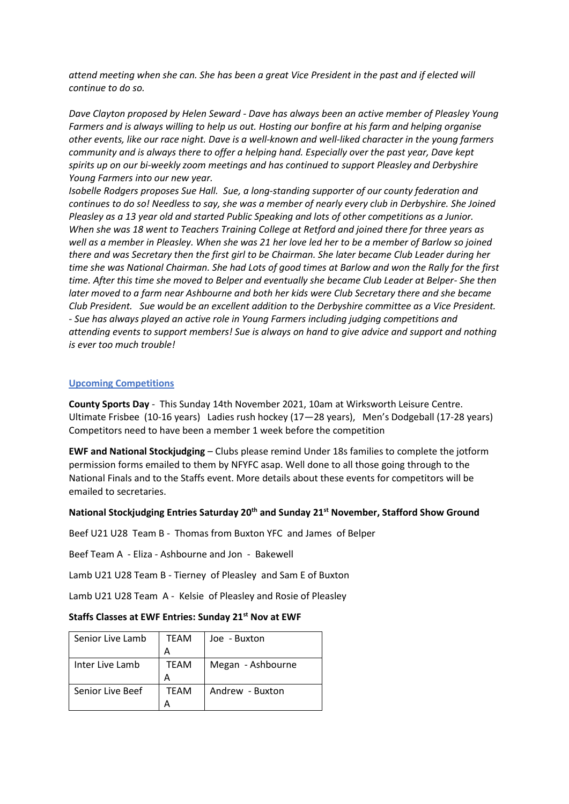*attend meeting when she can. She has been a great Vice President in the past and if elected will continue to do so.*

*Dave Clayton proposed by Helen Seward - Dave has always been an active member of Pleasley Young Farmers and is always willing to help us out. Hosting our bonfire at his farm and helping organise other events, like our race night. Dave is a well-known and well-liked character in the young farmers community and is always there to offer a helping hand. Especially over the past year, Dave kept spirits up on our bi-weekly zoom meetings and has continued to support Pleasley and Derbyshire Young Farmers into our new year.*

*Isobelle Rodgers proposes Sue Hall. Sue, a long-standing supporter of our county federation and continues to do so! Needless to say, she was a member of nearly every club in Derbyshire. She Joined Pleasley as a 13 year old and started Public Speaking and lots of other competitions as a Junior. When she was 18 went to Teachers Training College at Retford and joined there for three years as well as a member in Pleasley. When she was 21 her love led her to be a member of Barlow so joined there and was Secretary then the first girl to be Chairman. She later became Club Leader during her time she was National Chairman. She had Lots of good times at Barlow and won the Rally for the first time. After this time she moved to Belper and eventually she became Club Leader at Belper- She then later moved to a farm near Ashbourne and both her kids were Club Secretary there and she became Club President. Sue would be an excellent addition to the Derbyshire committee as a Vice President. - Sue has always played an active role in Young Farmers including judging competitions and attending events to support members! Sue is always on hand to give advice and support and nothing is ever too much trouble!*

#### **Upcoming Competitions**

**County Sports Day** - This Sunday 14th November 2021, 10am at Wirksworth Leisure Centre. Ultimate Frisbee (10-16 years) Ladies rush hockey (17—28 years), Men's Dodgeball (17-28 years) Competitors need to have been a member 1 week before the competition

**EWF and National Stockjudging** – Clubs please remind Under 18s families to complete the jotform permission forms emailed to them by NFYFC asap. Well done to all those going through to the National Finals and to the Staffs event. More details about these events for competitors will be emailed to secretaries.

#### **National Stockjudging Entries Saturday 20th and Sunday 21st November, Stafford Show Ground**

Beef U21 U28 Team B - Thomas from Buxton YFC and James of Belper

Beef Team A - Eliza - Ashbourne and Jon - Bakewell

Lamb U21 U28 Team B - Tierney of Pleasley and Sam E of Buxton

Lamb U21 U28 Team A - Kelsie of Pleasley and Rosie of Pleasley

#### **Staffs Classes at EWF Entries: Sunday 21st Nov at EWF**

| Senior Live Lamb | TEAM        | Joe - Buxton      |
|------------------|-------------|-------------------|
|                  | А           |                   |
| Inter Live Lamb  | TEAM        | Megan - Ashbourne |
|                  | А           |                   |
| Senior Live Beef | <b>TFAM</b> | Andrew - Buxton   |
|                  |             |                   |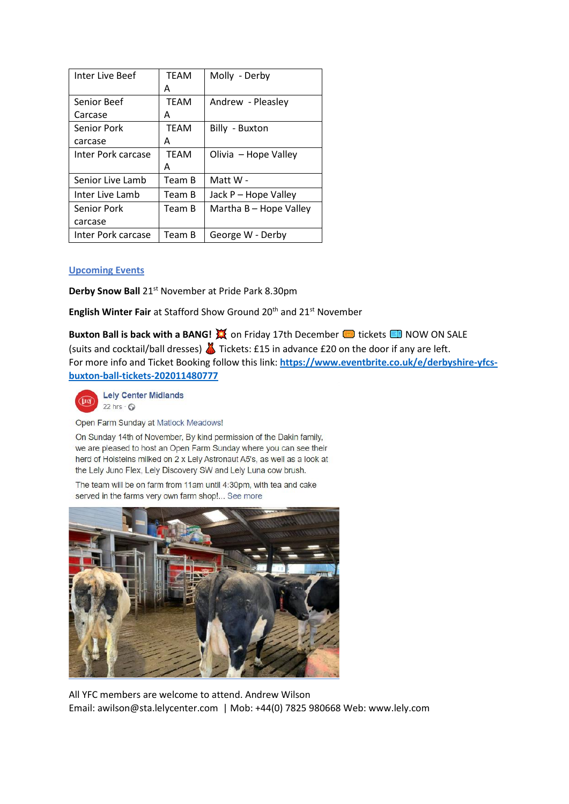| Inter Live Beef    | <b>TFAM</b> | Molly - Derby          |
|--------------------|-------------|------------------------|
|                    | А           |                        |
| Senior Beef        | <b>TFAM</b> | Andrew - Pleasley      |
| Carcase            | А           |                        |
| Senior Pork        | <b>TEAM</b> | Billy - Buxton         |
| carcase            | А           |                        |
| Inter Pork carcase | <b>TEAM</b> | Olivia - Hope Valley   |
|                    | Α           |                        |
| Senior Live Lamb   | Team B      | Matt W -               |
| Inter Live Lamb    | Team B      | Jack P - Hope Valley   |
| Senior Pork        | Team B      | Martha B - Hope Valley |
| carcase            |             |                        |
| Inter Pork carcase | Team B      | George W - Derby       |

# **Upcoming Events**

**Derby Snow Ball** 21<sup>st</sup> November at Pride Park 8.30pm

**English Winter Fair** at Stafford Show Ground 20<sup>th</sup> and 21<sup>st</sup> November

**Buxton Ball is back with a BANG! X on Friday 17th December <b>the state of Ball State** NOW ON SALE (suits and cocktail/ball dresses)  $\triangle$  Tickets: £15 in advance £20 on the door if any are left. For more info and Ticket Booking follow this link: **[https://www.eventbrite.co.uk/e/derbyshire-yfcs](https://www.eventbrite.co.uk/e/derbyshire-yfcs-buxton-ball-tickets-202011480777)[buxton-ball-tickets-202011480777](https://www.eventbrite.co.uk/e/derbyshire-yfcs-buxton-ball-tickets-202011480777)**



**Lely Center Midlands**  $22 \text{ hrs} \cdot \text{°}$ 

Open Farm Sunday at Matlock Meadows!

On Sunday 14th of November, By kind permission of the Dakin family, we are pleased to host an Open Farm Sunday where you can see their herd of Holsteins milked on 2 x Lely Astronaut A5's, as well as a look at the Lely Juno Flex, Lely Discovery SW and Lely Luna cow brush.

The team will be on farm from 11am until 4:30pm, with tea and cake served in the farms very own farm shop!... See more



All YFC members are welcome to attend. Andrew Wilson Email: [awilson@sta.lelycenter.com](mailto:awilson@sta.lelycenter.com) | Mob: +44(0) 7825 980668 Web: [www.lely.com](http://www.lely.com/)